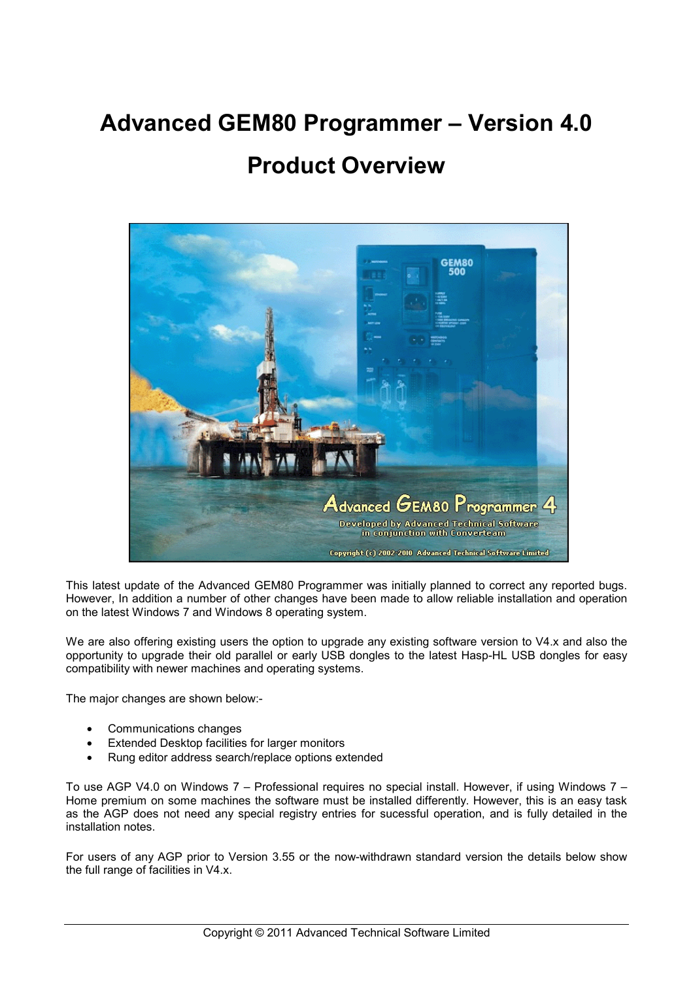# **Advanced GEM80 Programmer – Version 4.0**

# **Product Overview**



This latest update of the Advanced GEM80 Programmer was initially planned to correct any reported bugs. However, In addition a number of other changes have been made to allow reliable installation and operation on the latest Windows 7 and Windows 8 operating system.

We are also offering existing users the option to upgrade any existing software version to V4.x and also the opportunity to upgrade their old parallel or early USB dongles to the latest Hasp-HL USB dongles for easy compatibility with newer machines and operating systems.

The major changes are shown below:-

- Communications changes
- **Extended Desktop facilities for larger monitors**
- Rung editor address search/replace options extended

To use AGP V4.0 on Windows 7 – Professional requires no special install. However, if using Windows 7 – Home premium on some machines the software must be installed differently. However, this is an easy task as the AGP does not need any special registry entries for sucessful operation, and is fully detailed in the installation notes.

For users of any AGP prior to Version 3.55 or the now-withdrawn standard version the details below show the full range of facilities in V4.x.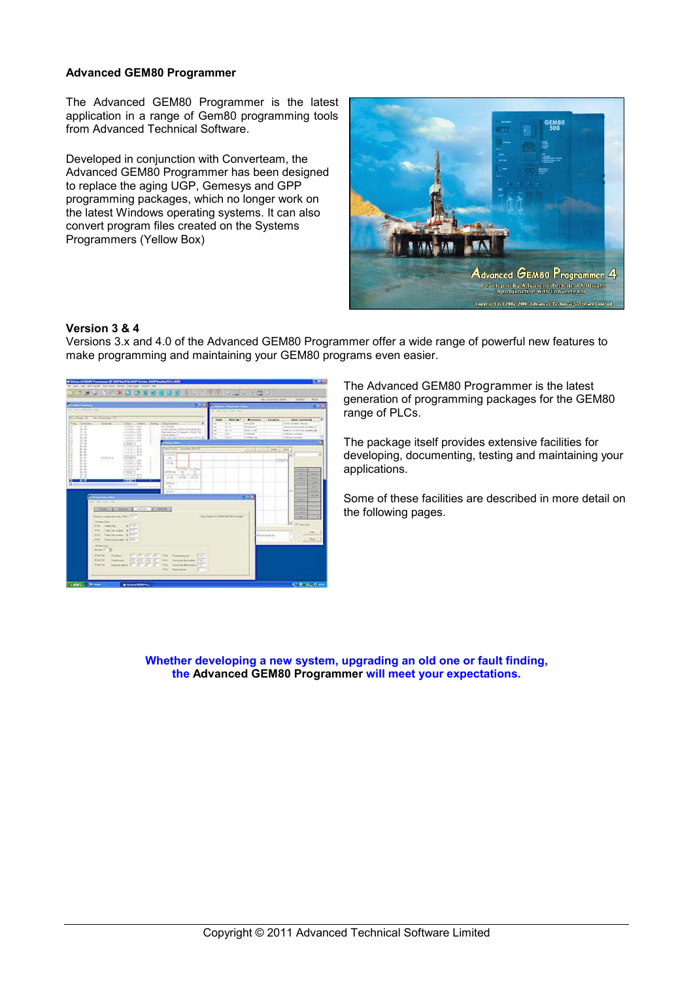# **Advanced GEM80 Programmer**

The Advanced GEM80 Programmer is the latest application in a range of Gem80 programming tools from Advanced Technical Software.

Developed in conjunction with Converteam, the Advanced GEM80 Programmer has been designed to replace the aging UGP, Gemesys and GPP programming packages, which no longer work on the latest Windows operating systems. It can also convert program files created on the Systems Programmers (Yellow Box)



### **Version 3 & 4**

Versions 3.x and 4.0 of the Advanced GEM80 Programmer offer a wide range of powerful new features to make programming and maintaining your GEM80 programs even easier.



The Advanced GEM80 Programmer is the latest generation of programming packages for the GEM80 range of PLCs.

The package itself provides extensive facilities for developing, documenting, testing and maintaining your applications.

Some of these facilities are described in more detail on the following pages.

**Whether developing a new system, upgrading an old one or fault finding, the Advanced GEM80 Programmer will meet your expectations.**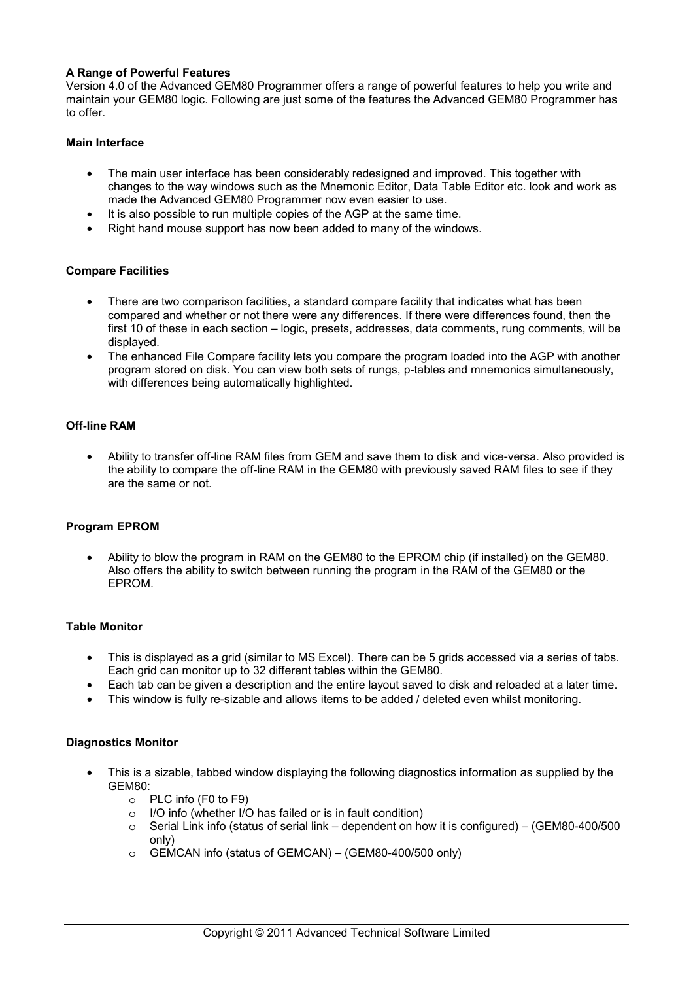# **A Range of Powerful Features**

Version 4.0 of the Advanced GEM80 Programmer offers a range of powerful features to help you write and maintain your GEM80 logic. Following are just some of the features the Advanced GEM80 Programmer has to offer.

# **Main Interface**

- The main user interface has been considerably redesigned and improved. This together with changes to the way windows such as the Mnemonic Editor, Data Table Editor etc. look and work as made the Advanced GEM80 Programmer now even easier to use.
- It is also possible to run multiple copies of the AGP at the same time.
- Right hand mouse support has now been added to many of the windows.

# **Compare Facilities**

- There are two comparison facilities, a standard compare facility that indicates what has been compared and whether or not there were any differences. If there were differences found, then the first 10 of these in each section – logic, presets, addresses, data comments, rung comments, will be displayed.
- The enhanced File Compare facility lets you compare the program loaded into the AGP with another program stored on disk. You can view both sets of rungs, p-tables and mnemonics simultaneously, with differences being automatically highlighted.

# **Off-line RAM**

• Ability to transfer off-line RAM files from GEM and save them to disk and vice-versa. Also provided is the ability to compare the off-line RAM in the GEM80 with previously saved RAM files to see if they are the same or not.

# **Program EPROM**

• Ability to blow the program in RAM on the GEM80 to the EPROM chip (if installed) on the GEM80. Also offers the ability to switch between running the program in the RAM of the GEM80 or the EPROM.

# **Table Monitor**

- This is displayed as a grid (similar to MS Excel). There can be 5 grids accessed via a series of tabs. Each grid can monitor up to 32 different tables within the GEM80.
- Each tab can be given a description and the entire layout saved to disk and reloaded at a later time.
- This window is fully re-sizable and allows items to be added / deleted even whilst monitoring.

# **Diagnostics Monitor**

- This is a sizable, tabbed window displaying the following diagnostics information as supplied by the GEM80:
	- o PLC info (F0 to F9)
	- o I/O info (whether I/O has failed or is in fault condition)
	- $\circ$  Serial Link info (status of serial link dependent on how it is configured) (GEM80-400/500 only)
	- o GEMCAN info (status of GEMCAN) (GEM80-400/500 only)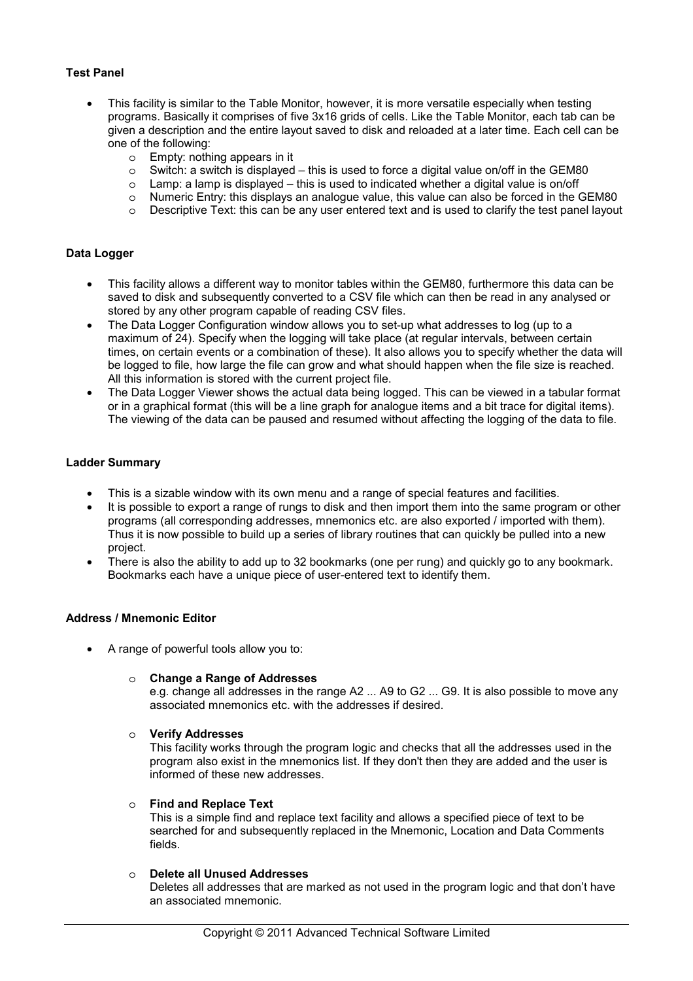# **Test Panel**

- This facility is similar to the Table Monitor, however, it is more versatile especially when testing programs. Basically it comprises of five 3x16 grids of cells. Like the Table Monitor, each tab can be given a description and the entire layout saved to disk and reloaded at a later time. Each cell can be one of the following:
	- o Empty: nothing appears in it
	- $\circ$  Switch: a switch is displayed this is used to force a digital value on/off in the GEM80
	- $\circ$  Lamp: a lamp is displayed this is used to indicated whether a digital value is on/off
	- o Numeric Entry: this displays an analogue value, this value can also be forced in the GEM80
	- o Descriptive Text: this can be any user entered text and is used to clarify the test panel layout

# **Data Logger**

- This facility allows a different way to monitor tables within the GEM80, furthermore this data can be saved to disk and subsequently converted to a CSV file which can then be read in any analysed or stored by any other program capable of reading CSV files.
- The Data Logger Configuration window allows you to set-up what addresses to log (up to a maximum of 24). Specify when the logging will take place (at regular intervals, between certain times, on certain events or a combination of these). It also allows you to specify whether the data will be logged to file, how large the file can grow and what should happen when the file size is reached. All this information is stored with the current project file.
- The Data Logger Viewer shows the actual data being logged. This can be viewed in a tabular format or in a graphical format (this will be a line graph for analogue items and a bit trace for digital items). The viewing of the data can be paused and resumed without affecting the logging of the data to file.

### **Ladder Summary**

- This is a sizable window with its own menu and a range of special features and facilities.
- It is possible to export a range of rungs to disk and then import them into the same program or other programs (all corresponding addresses, mnemonics etc. are also exported / imported with them). Thus it is now possible to build up a series of library routines that can quickly be pulled into a new project.
- There is also the ability to add up to 32 bookmarks (one per rung) and quickly go to any bookmark. Bookmarks each have a unique piece of user-entered text to identify them.

## **Address / Mnemonic Editor**

• A range of powerful tools allow you to:

### o **Change a Range of Addresses**

e.g. change all addresses in the range A2 ... A9 to G2 ... G9. It is also possible to move any associated mnemonics etc. with the addresses if desired.

o **Verify Addresses**

This facility works through the program logic and checks that all the addresses used in the program also exist in the mnemonics list. If they don't then they are added and the user is informed of these new addresses.

# o **Find and Replace Text**

This is a simple find and replace text facility and allows a specified piece of text to be searched for and subsequently replaced in the Mnemonic, Location and Data Comments fields.

# o **Delete all Unused Addresses**

Deletes all addresses that are marked as not used in the program logic and that don't have an associated mnemonic.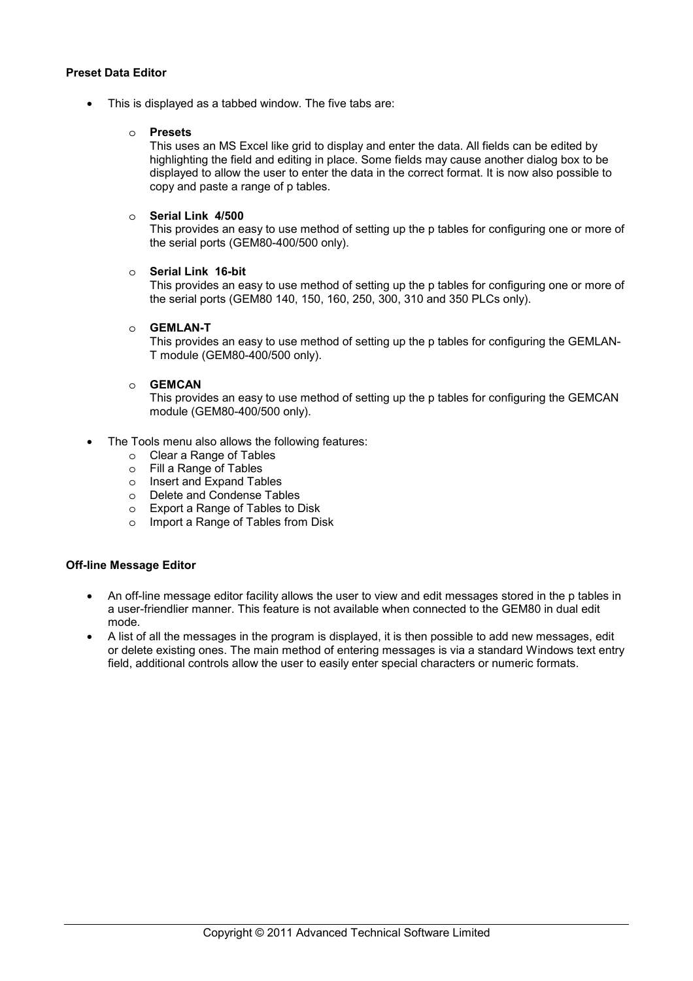# **Preset Data Editor**

This is displayed as a tabbed window. The five tabs are:

# o **Presets**

This uses an MS Excel like grid to display and enter the data. All fields can be edited by highlighting the field and editing in place. Some fields may cause another dialog box to be displayed to allow the user to enter the data in the correct format. It is now also possible to copy and paste a range of p tables.

# o **Serial Link 4/500**

This provides an easy to use method of setting up the p tables for configuring one or more of the serial ports (GEM80-400/500 only).

# o **Serial Link 16-bit**

This provides an easy to use method of setting up the p tables for configuring one or more of the serial ports (GEM80 140, 150, 160, 250, 300, 310 and 350 PLCs only).

# o **GEMLAN-T**

This provides an easy to use method of setting up the p tables for configuring the GEMLAN-T module (GEM80-400/500 only).

### o **GEMCAN**

This provides an easy to use method of setting up the p tables for configuring the GEMCAN module (GEM80-400/500 only).

- The Tools menu also allows the following features:
	- o Clear a Range of Tables
	- o Fill a Range of Tables
	- o Insert and Expand Tables
	- o Delete and Condense Tables
	- o Export a Range of Tables to Disk
	- o Import a Range of Tables from Disk

# **Off-line Message Editor**

- An off-line message editor facility allows the user to view and edit messages stored in the p tables in a user-friendlier manner. This feature is not available when connected to the GEM80 in dual edit mode.
- A list of all the messages in the program is displayed, it is then possible to add new messages, edit or delete existing ones. The main method of entering messages is via a standard Windows text entry field, additional controls allow the user to easily enter special characters or numeric formats.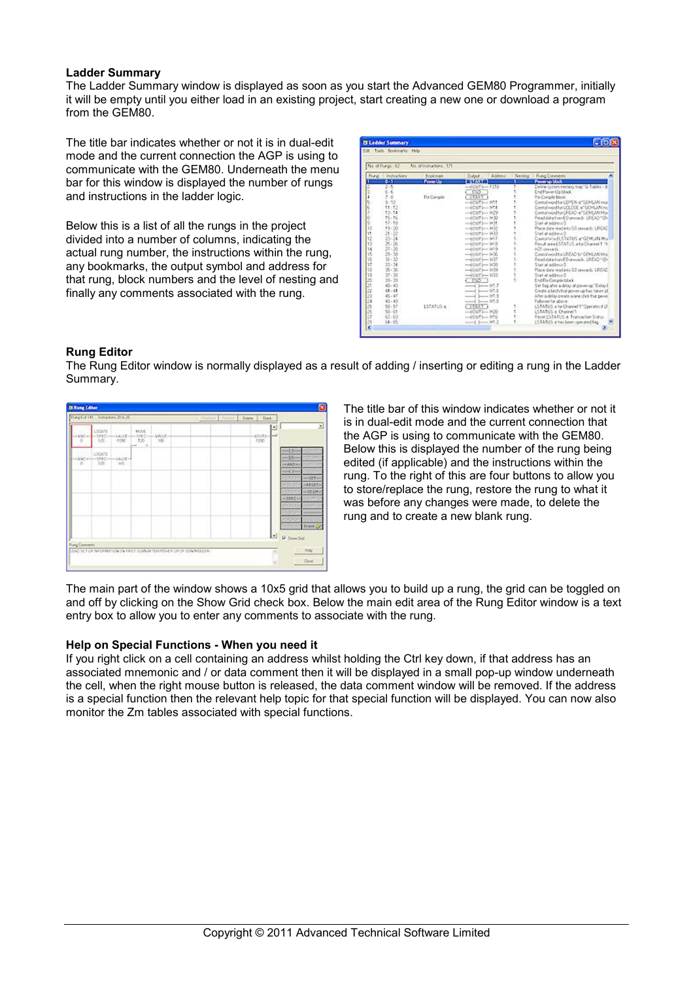## **Ladder Summary**

The Ladder Summary window is displayed as soon as you start the Advanced GEM80 Programmer, initially it will be empty until you either load in an existing project, start creating a new one or download a program from the GEM80.

The title bar indicates whether or not it is in dual-edit mode and the current connection the AGP is using to communicate with the GEM80. Underneath the menu bar for this window is displayed the number of rungs and instructions in the ladder logic.

Below this is a list of all the rungs in the project divided into a number of columns, indicating the actual rung number, the instructions within the rung, any bookmarks, the output symbol and address for that rung, block numbers and the level of nesting and finally any comments associated with the rung.

|             | No. of Frange : 62 | Alo, of instructions : 171 |                            |                                             |
|-------------|--------------------|----------------------------|----------------------------|---------------------------------------------|
| <b>Fung</b> | Inductions         | Rookmark                   | Address<br>Dutcut          | Neiling Rung Convents                       |
|             | $0 - 11$           | <b>Power Up</b>            | <b>BACAGE</b>              | <b>Power on block</b>                       |
|             | 215                |                            | $-400T - 1210$             | Croine system memory trap "G-Tables - d     |
|             | $5 - E$            |                            | <b>CND</b>                 | End Pough Holblock                          |
|             | $7 - 8$            | Fix Compile                | START                      | Fig.Compile Nock                            |
|             | $9 - 33$           |                            | $-100T$ $-117$             | Control word for UDPEN of SEMLAN mod        |
|             | 11:12              |                            | $m$ CUT $km$ -H-L          | Control word for UCLOSE of GEMLAN me        |
|             | 13:14              |                            | $-00071 - 1029$            | Control mond for LEEAD of SEMLAN Max        |
|             | 15.16              |                            | $-0007$ $\rightarrow$ $00$ | Final data from ED presents UREADT By       |
|             | 17.18              |                            | $=$ $007$ $=$ $R$ 31       | Start at address 0                          |
|             | 19.20              |                            | $-(CUT) = 1632$            | Place data tead into GD proceeds UREAC      |
|             | $21 - 32$          |                            | $-6007 - 0.23$             | Start at address 0                          |
|             | $23 - 24$          |                            | $-6007 - 027$              | Control Mind LSTATUS an GEMLAN Mor          |
|             | 25.36              |                            | $-(0.01) - 0.18$           | Result assa LSTATUS a for Durand 1-1-       |
|             | $27 - 28$          |                            | $-(007) - 119$             | SC1 onwards                                 |
|             | $29 - 30$          |                            | $-6007 - 0.36$             | Carend word for LRSAD by SEMLAN Mor-        |
|             | $31 - 32$          |                            | $-6000 - 107$              | Read data from ED presents: LREAD* (Re      |
|             | $33 - 34$          |                            | $-6007 - 1020$             | Disease a new                               |
|             | 25.30              |                            | $-4007 - 1029$             | Place data readjoin GD presents LREAD       |
|             | $27 - 30$          |                            | $-404$ Th $-1433$          | Start at address O.                         |
|             | $29 - 29$          |                            | <b>CONT</b>                | End Re Compile block                        |
|             | $40 - 43$          |                            | $-45 - 017$                | Set fied after a delite at power-up"Delay I |
|             | 41.41              |                            | $-15$                      | Create a laich that power-up has taken of   |
|             | 45.47              |                            | $-45 - 113$                | After a delay create a one-chot that power  |
|             | 43.43              |                            | $-1$ $-113$                | Follower for above                          |
|             | 50.57              | LSTATUS-a                  | <b>CSTART 1</b>            | LSTATUS a for Channel 1"Completed U         |
|             | 58.81              |                            | $-100T$ $-100$             | 15141US a Channel I                         |
|             | 82.83              |                            | $-000$ Then H18            | Reset LSTATUS a Transaction Status          |
|             | 64.85              |                            | mond James H1.2            | LSTATUS a har been romaind fag.             |

# **Rung Editor**

The Rung Editor window is normally displayed as a result of adding / inserting or editing a rung in the Ladder Summary.

|                           |                                    | Rung Elat 141 Instructions 2016-29                               |                                         |                                                                      | <b>CRADbow Life</b> | Delete   Dark               |   |                                                                                                              |
|---------------------------|------------------------------------|------------------------------------------------------------------|-----------------------------------------|----------------------------------------------------------------------|---------------------|-----------------------------|---|--------------------------------------------------------------------------------------------------------------|
| (DCm<br>$\circ$<br>$-9 -$ | LEGASE<br>528<br>L'EGATE<br>$-522$ | ーラチセローー 1913年<br>0.200<br>$-1245 - -1246 - -12108 -$<br>$-1/0.5$ | MOVE<br>120<br>$-36$<br>i.<br><b>TE</b> | -SPEC-H-VALUE-<br>$-100$                                             |                     | and a<br>$000D - 4$<br>P200 | Þ | Ξ<br>-32-<br>-35-<br><b>Ex 2AD</b> sit<br><b>VIDE</b><br>$-C1$                                               |
|                           |                                    |                                                                  |                                         |                                                                      |                     |                             |   | <b>ROOTE</b><br>$-111-$<br>$-$ PESET-<br>934<br><b>HISECH-</b><br>50000<br><b>HIPECH</b><br><b>COST</b><br>n |
| <b>Fung Convents</b>      |                                    |                                                                  |                                         | LOAD SET OF INFORMATION ON FIRST SCAN AFTER PUNCH, UP OF CONTROLLER. |                     |                             | ы | <b>STORE Brain OF</b><br><b>P</b> Show Gid<br>Mrib                                                           |

The title bar of this window indicates whether or not it is in dual-edit mode and the current connection that the AGP is using to communicate with the GEM80. Below this is displayed the number of the rung being edited (if applicable) and the instructions within the rung. To the right of this are four buttons to allow you to store/replace the rung, restore the rung to what it was before any changes were made, to delete the rung and to create a new blank rung.

The main part of the window shows a 10x5 grid that allows you to build up a rung, the grid can be toggled on and off by clicking on the Show Grid check box. Below the main edit area of the Rung Editor window is a text entry box to allow you to enter any comments to associate with the rung.

### **Help on Special Functions - When you need it**

If you right click on a cell containing an address whilst holding the Ctrl key down, if that address has an associated mnemonic and / or data comment then it will be displayed in a small pop-up window underneath the cell, when the right mouse button is released, the data comment window will be removed. If the address is a special function then the relevant help topic for that special function will be displayed. You can now also monitor the Zm tables associated with special functions.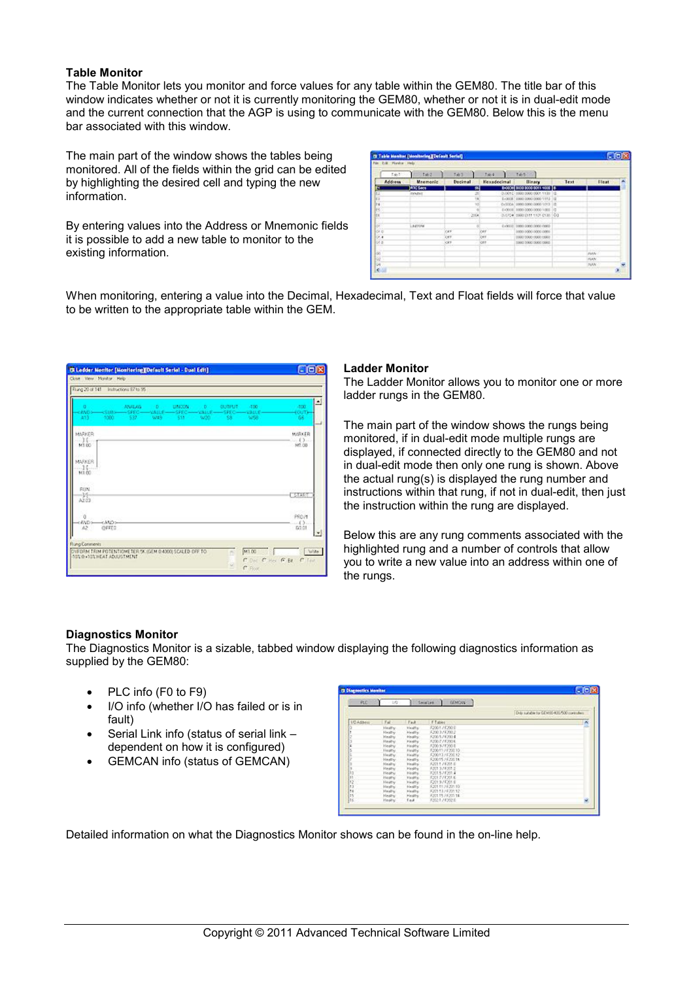# **Table Monitor**

The Table Monitor lets you monitor and force values for any table within the GEM80. The title bar of this window indicates whether or not it is currently monitoring the GEM80, whether or not it is in dual-edit mode and the current connection that the AGP is using to communicate with the GEM80. Below this is the menu bar associated with this window.

The main part of the window shows the tables being monitored. All of the fields within the grid can be edited by highlighting the desired cell and typing the new information.

By entering values into the Address or Mnemonic fields it is possible to add a new table to monitor to the existing information.

| Tablic        | 7.1462         | 7.61      | 7.664         | T465 (10)                         |      |               |                          |
|---------------|----------------|-----------|---------------|-----------------------------------|------|---------------|--------------------------|
| Address       | Maemonic       | Decimal   | Hexadecimal 1 | <b>Binary</b>                     | Text | <b>Flight</b> | A                        |
|               | <b>AN Seco</b> | 끩         |               | 8-0004 8000 8000 8011 4008 8      |      |               |                          |
|               | mounts.        |           |               | 0.0010 0000 0000 0001 1100 0      |      |               |                          |
|               |                | 14        |               | 0-0000 0000 0000 1110 0           |      |               |                          |
|               |                | 10        |               | 0x300A 0000 0000 0000 1010 10     |      |               |                          |
|               |                |           |               | 0-2010 0000 0000 0000 0000 000    |      |               |                          |
| 社社文学社         |                | $-2004$   |               | 2.0104 0000 0111 1101 0100 00     |      |               |                          |
|               |                |           |               |                                   |      |               |                          |
|               | LIVING         | ×         |               | byces to been poor proof cong.    |      |               |                          |
|               |                | on        | ov            | 0000 0000 0000 0000               |      |               |                          |
|               |                | ξy.<br>w. | lord.         | 1000 1000 1000 1000               |      |               |                          |
| $\frac{1}{2}$ |                | CFF.      | lose.         | DOOD DOOD DOOD DOOD               |      |               |                          |
|               |                |           |               | The Control of the Second Seconds |      |               |                          |
| 33            |                |           |               |                                   |      | <b>Juin</b>   |                          |
|               |                |           |               |                                   |      | Injune.       |                          |
| Ù4            |                |           |               |                                   |      | <b>INANCO</b> | $\overline{\phantom{a}}$ |

When monitoring, entering a value into the Decimal, Hexadecimal, Text and Float fields will force that value to be written to the appropriate table within the GEM.

|                                                               |                        | Rung 20 of 141 Instructions 97 to 95 |             |                           |                          |                                         |                    |                                |
|---------------------------------------------------------------|------------------------|--------------------------------------|-------------|---------------------------|--------------------------|-----------------------------------------|--------------------|--------------------------------|
| <b>WO-</b><br>413                                             | 5000                   | ANALAD.<br>-532                      | HD.<br>UV19 | <b>RENOUND</b><br>\$58.50 | <b>COL</b><br><b>W20</b> | <b>OUTRUT</b><br>$-5000$ $-4000$<br>581 | -400<br><b>W58</b> | 싀<br>400<br><b>COUTH</b><br>66 |
| <b>ASPARR</b><br>$\frac{1}{2}$<br><b>MARKER</b><br>$-15 - 11$ |                        |                                      |             |                           |                          |                                         |                    | MARKER<br>1.65.1<br>M1.00      |
| 100<br><b>BIN</b><br>-36<br>A2.03                             |                        |                                      |             |                           |                          |                                         |                    | <b>START</b>                   |
| ú<br>ceNDs<br>12                                              | <and><br/>GFFED.</and> |                                      |             |                           |                          |                                         |                    | PROV1<br>(3.<br>50.01<br>븨     |
|                                                               | <b>Rung Comments</b>   |                                      |             |                           |                          |                                         |                    |                                |

#### **Ladder Monitor**

The Ladder Monitor allows you to monitor one or more ladder rungs in the GEM80.

The main part of the window shows the rungs being monitored, if in dual-edit mode multiple rungs are displayed, if connected directly to the GEM80 and not in dual-edit mode then only one rung is shown. Above the actual rung(s) is displayed the rung number and instructions within that rung, if not in dual-edit, then just the instruction within the rung are displayed.

Below this are any rung comments associated with the highlighted rung and a number of controls that allow you to write a new value into an address within one of the rungs.

# **Diagnostics Monitor**

The Diagnostics Monitor is a sizable, tabbed window displaying the following diagnostics information as supplied by the GEM80:

- PLC info (F0 to F9)
- I/O info (whether I/O has failed or is in fault)
- Serial Link info (status of serial link dependent on how it is configured)
- GEMCAN info (status of GEMCAN)

| RC <sub>1</sub>    | $-10$          |                | <b>GENCION</b><br><b>COSMANDS</b> |                                                |
|--------------------|----------------|----------------|-----------------------------------|------------------------------------------------|
|                    |                |                |                                   | Only suitable for Edite 80-403/500 controllers |
| <b>LIO Address</b> | Tal            | Fak            | F-Tables                          | ×                                              |
|                    | Healthy        | Health.        | F2001./ F200 E                    |                                                |
|                    | <b>Healty</b>  | Healty         | \$200.37 \$200.2                  |                                                |
|                    | <b>Hash's</b>  | Healty         | F200 57 F200 3                    |                                                |
|                    | Healty         | <b>Holdis</b>  | 32007752016                       |                                                |
|                    | <b>Hashy</b>   | <b>Hooff</b>   | F200 57 F200 B                    |                                                |
|                    | <b>Hastie</b>  | <b>Healty</b>  | F20015 / F20210                   |                                                |
|                    | Heaty.         | <b>Finally</b> | F20013 / F208 12                  |                                                |
|                    | <b>Haiffy</b>  | <b>Healty</b>  | \$200157620016                    |                                                |
|                    | <b>Hastin</b>  | Healty.        | F2011 / F201 E                    |                                                |
|                    | Hasilw         | <b>Healty</b>  | 120131822.2                       |                                                |
| 13.3               | Floathy        | <b>Hadful</b>  | 72015772014                       |                                                |
| H                  | <b>Hashy</b>   | <b>Highly</b>  | F2017 / F201 K                    |                                                |
| 16                 | <b>Halffly</b> | <b>Finally</b> | F2019 / F2018                     |                                                |
| $^{13}$            | Hashy          | Haddler.       | 6201113622130                     |                                                |
| tu                 | Hashw          | Haults:        | F20113.1E20112                    |                                                |
| H                  | <b>Hasily</b>  | <b>Healty</b>  | 1201157120114                     |                                                |
| lıc                | <b>Hooks/</b>  | <b>Tail</b>    | F2021 / F2021                     | ŵ                                              |

Detailed information on what the Diagnostics Monitor shows can be found in the on-line help.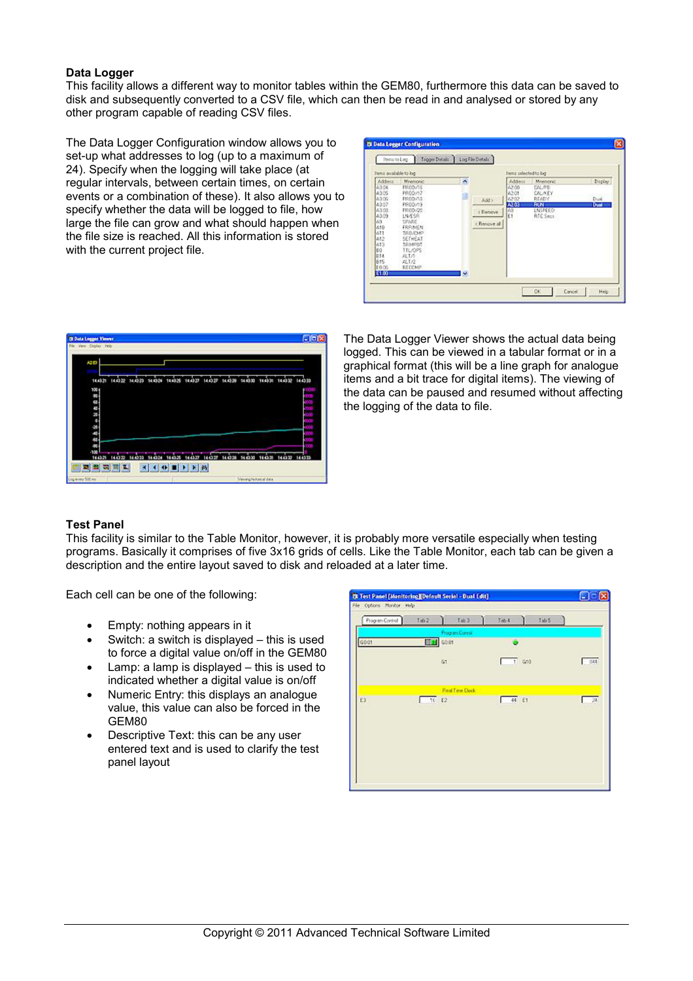# **Data Logger**

This facility allows a different way to monitor tables within the GEM80, furthermore this data can be saved to disk and subsequently converted to a CSV file, which can then be read in and analysed or stored by any other program capable of reading CSV files.

The Data Logger Configuration window allows you to set-up what addresses to log (up to a maximum of 24). Specify when the logging will take place (at regular intervals, between certain times, on certain events or a combination of these). It also allows you to specify whether the data will be logged to file, how large the file can grow and what should happen when the file size is reached. All this information is stored with the current project file.

| liens available to log.                                                                                                                    |                                                                                                                                                                                   |              |                                    | Items pelected to los                                        |                                                                                                         |                           |
|--------------------------------------------------------------------------------------------------------------------------------------------|-----------------------------------------------------------------------------------------------------------------------------------------------------------------------------------|--------------|------------------------------------|--------------------------------------------------------------|---------------------------------------------------------------------------------------------------------|---------------------------|
| Address<br>63.08<br>43.05<br>6305<br>43.07<br>6300<br>43.09<br>49<br>410<br>611<br>412<br>613<br>E0<br><b>DIA</b><br>615<br>FOOG.<br>E1.00 | Mnemonic<br>PRODUCE<br>PROD/17<br><b>FROD/12</b><br>PRODUCE<br>FR00/20<br>LNÆSR<br>SPARE<br>FRPAIEN.<br>TROADER<br>SETHERT<br>IRMPDE<br>TTL/DPS<br>AL141<br>ALTA<br><b>RECOMP</b> | ×.<br>国<br>× | Add in<br>c Remove<br>c Renove all | Addeus<br>62.00<br>42.01<br>62.02<br>A203<br>$\frac{40}{51}$ | <b>Mrenonic</b><br>DAL /PR<br><b>DALAEY</b><br>READY<br><b>FUN</b><br><b>LISPEED</b><br><b>RTC Sect</b> | Display<br>Duit<br>Dual - |



The Data Logger Viewer shows the actual data being logged. This can be viewed in a tabular format or in a graphical format (this will be a line graph for analogue items and a bit trace for digital items). The viewing of the data can be paused and resumed without affecting the logging of the data to file.

# **Test Panel**

This facility is similar to the Table Monitor, however, it is probably more versatile especially when testing programs. Basically it comprises of five 3x16 grids of cells. Like the Table Monitor, each tab can be given a description and the entire layout saved to disk and reloaded at a later time.

Each cell can be one of the following:

- Empty: nothing appears in it
- Switch: a switch is displayed this is used to force a digital value on/off in the GEM80
- Lamp: a lamp is displayed  $-$  this is used to indicated whether a digital value is on/off
- Numeric Entry: this displays an analogue value, this value can also be forced in the GEM80
- Descriptive Text: this can be any user entered text and is used to clarify the test panel layout

| Program Control | Tab2 |          | $T \gg 3$        | 1ab4 |          | Tab 5 |        |
|-----------------|------|----------|------------------|------|----------|-------|--------|
| 0001            |      | $T$ GD01 | Program Connol   | э    |          |       |        |
|                 |      | 01       |                  |      | $-1$ 610 |       | $-344$ |
|                 |      |          | Real Time Clock. |      |          |       |        |
| E3              | 16E  |          |                  | ı    | 44 £1    |       | $-24$  |
|                 |      |          |                  |      |          |       |        |
|                 |      |          |                  |      |          |       |        |
|                 |      |          |                  |      |          |       |        |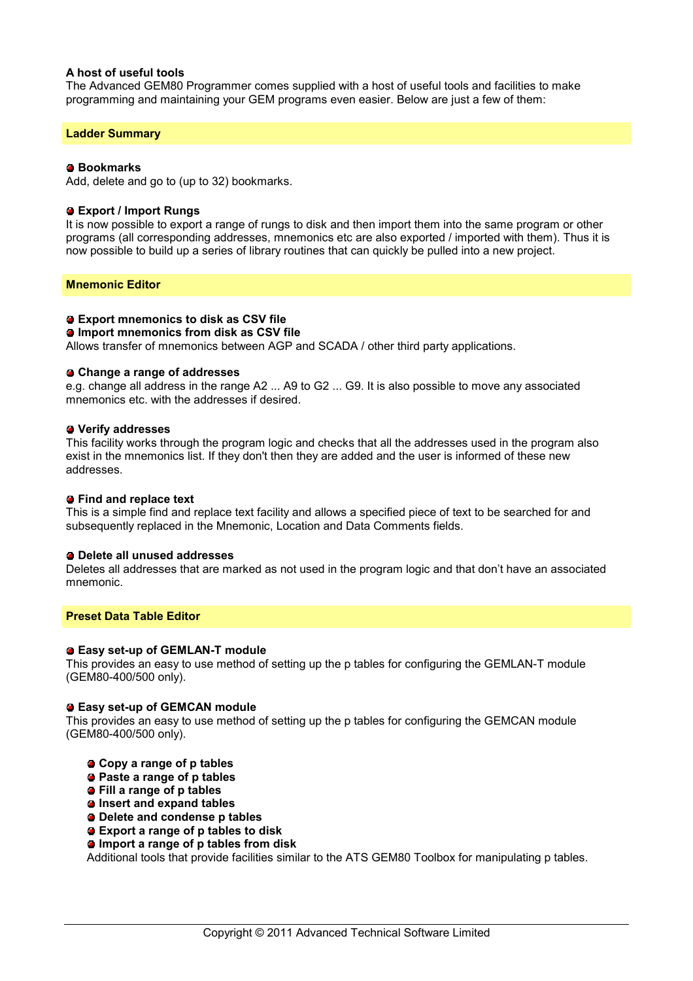# **A host of useful tools**

The Advanced GEM80 Programmer comes supplied with a host of useful tools and facilities to make programming and maintaining your GEM programs even easier. Below are just a few of them:

#### **Ladder Summary**

#### **Bookmarks**

Add, delete and go to (up to 32) bookmarks.

#### **Export / Import Rungs**

It is now possible to export a range of rungs to disk and then import them into the same program or other programs (all corresponding addresses, mnemonics etc are also exported / imported with them). Thus it is now possible to build up a series of library routines that can quickly be pulled into a new project.

#### **Mnemonic Editor**

#### **Export mnemonics to disk as CSV file**

#### **Import mnemonics from disk as CSV file**

Allows transfer of mnemonics between AGP and SCADA / other third party applications.

#### **Change a range of addresses**

e.g. change all address in the range A2 ... A9 to G2 ... G9. It is also possible to move any associated mnemonics etc. with the addresses if desired.

#### **Verify addresses**

This facility works through the program logic and checks that all the addresses used in the program also exist in the mnemonics list. If they don't then they are added and the user is informed of these new addresses.

#### **Find and replace text**

This is a simple find and replace text facility and allows a specified piece of text to be searched for and subsequently replaced in the Mnemonic, Location and Data Comments fields.

#### **Delete all unused addresses**

Deletes all addresses that are marked as not used in the program logic and that don't have an associated mnemonic.

#### **Preset Data Table Editor**

#### **Easy set-up of GEMLAN-T module**

This provides an easy to use method of setting up the p tables for configuring the GEMLAN-T module (GEM80-400/500 only).

#### **Easy set-up of GEMCAN module**

This provides an easy to use method of setting up the p tables for configuring the GEMCAN module (GEM80-400/500 only).

- **Copy a range of p tables**
- **Paste a range of p tables**
- **Fill a range of p tables**
- **Insert and expand tables**
- **Delete and condense p tables**
- **Export a range of p tables to disk**
- **Import a range of p tables from disk**

Additional tools that provide facilities similar to the ATS GEM80 Toolbox for manipulating p tables.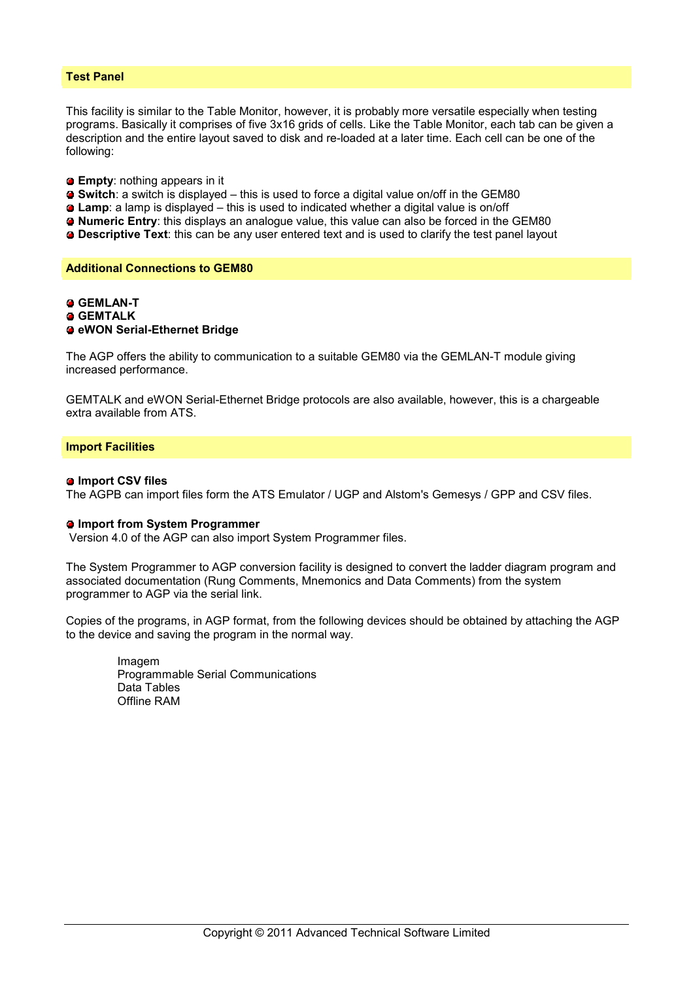## **Test Panel**

This facility is similar to the Table Monitor, however, it is probably more versatile especially when testing programs. Basically it comprises of five 3x16 grids of cells. Like the Table Monitor, each tab can be given a description and the entire layout saved to disk and re-loaded at a later time. Each cell can be one of the following:

- **Empty**: nothing appears in it
- **Switch**: a switch is displayed this is used to force a digital value on/off in the GEM80
- **Lamp**: a lamp is displayed this is used to indicated whether a digital value is on/off
- **Numeric Entry**: this displays an analogue value, this value can also be forced in the GEM80
- **Descriptive Text**: this can be any user entered text and is used to clarify the test panel layout

#### **Additional Connections to GEM80**

# **GEMLAN-T**

 **GEMTALK**

### **eWON Serial-Ethernet Bridge**

The AGP offers the ability to communication to a suitable GEM80 via the GEMLAN-T module giving increased performance.

GEMTALK and eWON Serial-Ethernet Bridge protocols are also available, however, this is a chargeable extra available from ATS.

#### **Import Facilities**

#### $\bullet$  **Import CSV files**

The AGPB can import files form the ATS Emulator / UGP and Alstom's Gemesys / GPP and CSV files.

#### **Import from System Programmer**

Version 4.0 of the AGP can also import System Programmer files.

The System Programmer to AGP conversion facility is designed to convert the ladder diagram program and associated documentation (Rung Comments, Mnemonics and Data Comments) from the system programmer to AGP via the serial link.

Copies of the programs, in AGP format, from the following devices should be obtained by attaching the AGP to the device and saving the program in the normal way.

 Imagem Programmable Serial Communications Data Tables Offline RAM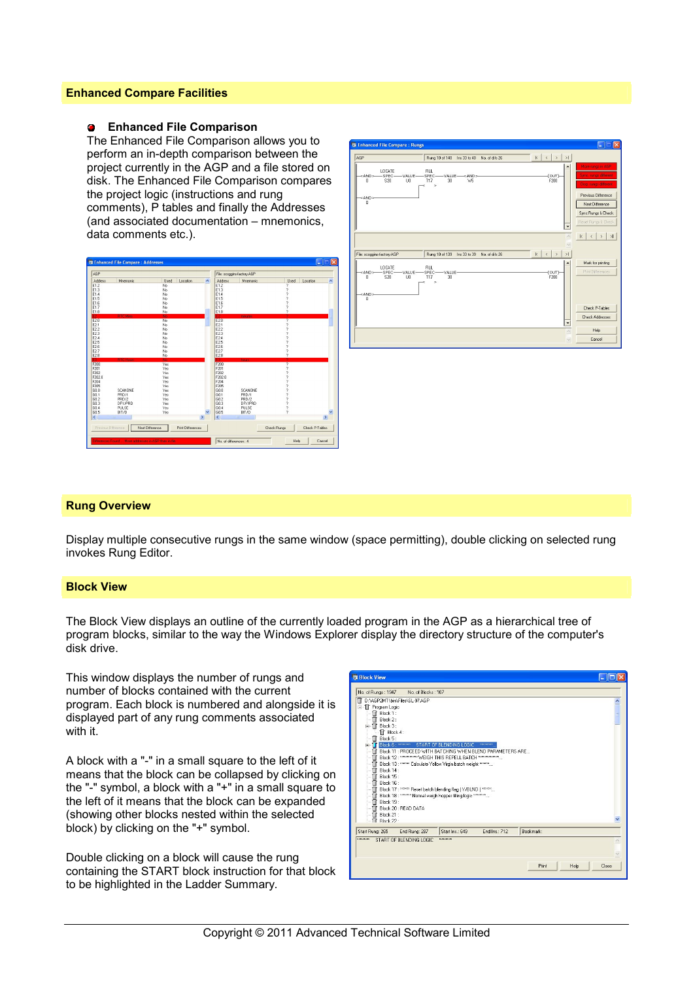# **Enhanced Compare Facilities**

#### **Enhanced File Comparison**  $\mathbf{r}$

The Enhanced File Comparison allows you to perform an in-depth comparison between the project currently in the AGP and a file stored on disk. The Enhanced File Comparison compares the project logic (instructions and rung comments), P tables and finally the Addresses (and associated documentation – mnemonics, data comments etc.).





# **Rung Overview**

Display multiple consecutive rungs in the same window (space permitting), double clicking on selected rung invokes Rung Editor.

# **Block View**

The Block View displays an outline of the currently loaded program in the AGP as a hierarchical tree of program blocks, similar to the way the Windows Explorer display the directory structure of the computer's disk drive.

This window displays the number of rungs and number of blocks contained with the current program. Each block is numbered and alongside it is displayed part of any rung comments associated with it.

A block with a "-" in a small square to the left of it means that the block can be collapsed by clicking on the "-" symbol, a block with a "+" in a small square to the left of it means that the block can be expanded (showing other blocks nested within the selected block) by clicking on the "+" symbol.

Double clicking on a block will cause the rung containing the START block instruction for that block to be highlighted in the Ladder Summary.

| <b>Block View</b>             |                                                                                                                               |                          |              |               | a lia |
|-------------------------------|-------------------------------------------------------------------------------------------------------------------------------|--------------------------|--------------|---------------|-------|
| No. of Rungs: 1947            | No. of Blocks: 107                                                                                                            |                          |              |               |       |
|                               | T D:\AGP2MT\bin\Files\SL-97.AGP                                                                                               |                          |              |               |       |
| Fill Program Logic            |                                                                                                                               |                          |              |               |       |
| T Block 1:                    |                                                                                                                               |                          |              |               |       |
| Block 2:                      |                                                                                                                               |                          |              |               |       |
| $=$ T Block 3:                |                                                                                                                               |                          |              |               |       |
| F Block 4:<br>Block 5:        |                                                                                                                               |                          |              |               |       |
| <b>Block 6: *******</b><br>Œ. |                                                                                                                               | START OF BLENDING LOGIC. | климическ    |               |       |
|                               | T Block 11 : PROCEED WITH BATCHING WHEN BLEND PARAMETERS ARE                                                                  |                          |              |               |       |
| 1 I                           | Block 12: *********** WEIGH THIS REPELL BATCH *************                                                                   |                          |              |               |       |
|                               | Block 13: ******* Calculate Yellow Virgin batch weight *******                                                                |                          |              |               |       |
| T Block 14:                   |                                                                                                                               |                          |              |               |       |
| Block 15:                     |                                                                                                                               |                          |              |               |       |
| Block 16:                     |                                                                                                                               |                          |              |               |       |
|                               | Block 17: ****** Reset batch blending flag (Y/BLND) ******<br>-T Block 18: xxxxxxx Normal weigh hopper filling logic ******** |                          |              |               |       |
| Fill Block 19:                |                                                                                                                               |                          |              |               |       |
|                               | T Block 20: READ DATA                                                                                                         |                          |              |               |       |
| $-\mathsf{T}$ Block 21:       |                                                                                                                               |                          |              |               |       |
| $\Box$ Rlock 22 -             |                                                                                                                               |                          |              |               |       |
| Start Rung: 265               | End Rung: 287                                                                                                                 | Start Ins.: 649          | End Ins: 712 | Bookmark:     |       |
| малекетине                    | START OF BLENDING LOGIC.                                                                                                      | императоры               |              |               |       |
|                               |                                                                                                                               |                          |              |               |       |
|                               |                                                                                                                               |                          |              |               |       |
|                               |                                                                                                                               |                          |              |               |       |
|                               |                                                                                                                               |                          |              | Print<br>Help | Close |
|                               |                                                                                                                               |                          |              |               |       |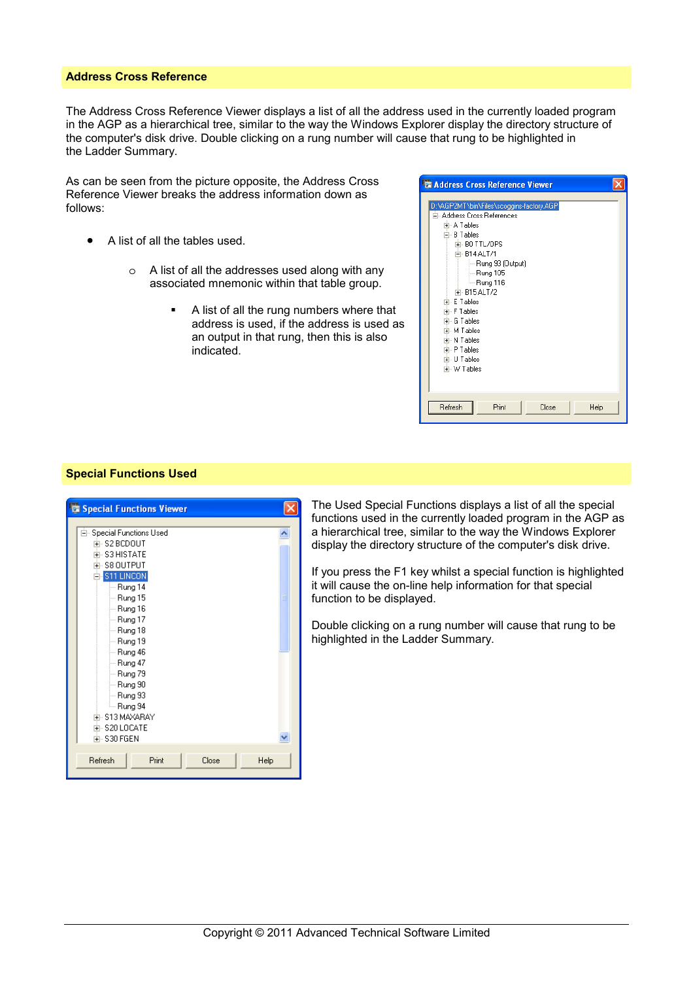## **Address Cross Reference**

The Address Cross Reference Viewer displays a list of all the address used in the currently loaded program in the AGP as a hierarchical tree, similar to the way the Windows Explorer display the directory structure of the computer's disk drive. Double clicking on a rung number will cause that rung to be highlighted in the Ladder Summary.

As can be seen from the picture opposite, the Address Cross Reference Viewer breaks the address information down as follows:

- A list of all the tables used.
	- o A list of all the addresses used along with any associated mnemonic within that table group.
		- A list of all the rung numbers where that address is used, if the address is used as an output in that rung, then this is also indicated.

| Address Cross Reference Viewer                                                                                                                                                                                                                                                                                            |  |
|---------------------------------------------------------------------------------------------------------------------------------------------------------------------------------------------------------------------------------------------------------------------------------------------------------------------------|--|
| D:\AGP2MT\bin\Files\scoggins-factory.AGP<br>白 Address Cross References<br>中 A Tables<br>白- B Tables<br>F-BOTTL/OPS<br>白- B14 ALT /1<br>- Rung 93 (Output)<br>├ - Rung 105<br>— Rung 116<br>中-B15ALT/2<br>中- E Tables<br>中· F Tables<br>中· G Tables<br>中 M Tables<br>中 N Tables<br>中· P Tables<br>中 U Tables<br>中 W Tables |  |
| Refresh<br>Print<br>Close<br>Help                                                                                                                                                                                                                                                                                         |  |

### **Special Functions Used**

| <b>Special Functions Viewer</b>         |  |
|-----------------------------------------|--|
|                                         |  |
| 白 Special Functions Used<br>中·S2 BCDOUT |  |
| 中 S3 HISTATE                            |  |
| 亩- S8 OUTPUT                            |  |
|                                         |  |
| -S11 LINCON                             |  |
| --- Rung 14                             |  |
| — Rung 15                               |  |
| ⊸ Rung 16                               |  |
| ⊸ Rung 17                               |  |
| ⊸ Rung 18                               |  |
| ⊸ Rung 19                               |  |
| ⊸ Rung 46                               |  |
| ⊸ Rung 47                               |  |
| ⊸ Rung 79                               |  |
| ⊸ Rung 90                               |  |
| ⊸ Rung 93                               |  |
| └─ Rung 94                              |  |
| 中- S13 MAXARAY                          |  |
| 中 S20 LOCATE                            |  |
| 中·S30 FGEN                              |  |
|                                         |  |
| Close<br>Refresh<br>Print<br>Help       |  |
|                                         |  |

The Used Special Functions displays a list of all the special functions used in the currently loaded program in the AGP as a hierarchical tree, similar to the way the Windows Explorer display the directory structure of the computer's disk drive.

If you press the F1 key whilst a special function is highlighted it will cause the on-line help information for that special function to be displayed.

Double clicking on a rung number will cause that rung to be highlighted in the Ladder Summary.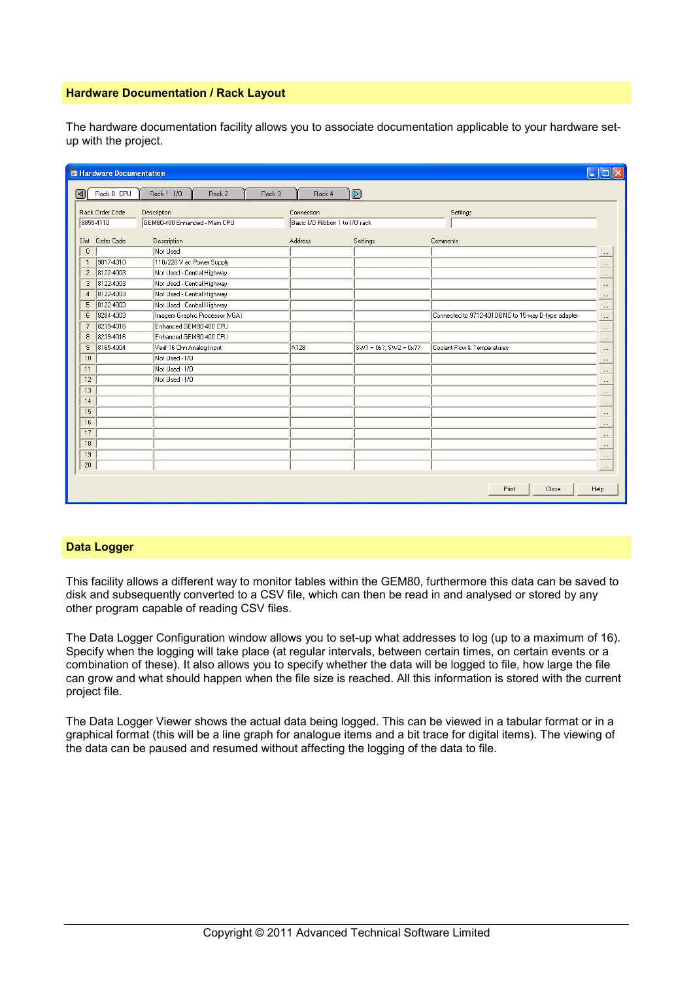# **Hardware Documentation / Rack Layout**

The hardware documentation facility allows you to associate documentation applicable to your hardware setup with the project.

|                | Hardware Documentation |                                |                                |                                                                                                       |                                                     | Е<br>$\sim$  |
|----------------|------------------------|--------------------------------|--------------------------------|-------------------------------------------------------------------------------------------------------|-----------------------------------------------------|--------------|
| 同              | Rack 0 CPU             | Rack 1 1/0<br>Rack 2<br>Rack 3 | Rack 4                         | $\mathsf{D}% _{\mathsf{L}}^{\mathsf{L}}(\mathsf{D})=\mathsf{D}_{\mathsf{L}}^{\mathsf{L}}(\mathsf{D})$ |                                                     |              |
|                | Rack Order Code        | Description                    | Connection                     |                                                                                                       | Settings                                            |              |
|                | 8855-4110              | GEM80-400 Enhanced - Main CPU  | Basic I/O Ribbon 1 to I/O rack |                                                                                                       |                                                     |              |
| Slot           | Order Code             | Description                    | Address                        | Settings                                                                                              | Comments                                            |              |
| $\theta$       |                        | Not Used                       |                                |                                                                                                       |                                                     |              |
| $\mathbf{I}$   | 9017-4010              | 110/220 V ac Power Supply      |                                |                                                                                                       |                                                     | $\cdots$     |
| $\overline{c}$ | 8122-4003              | Not Used - Central Highway     |                                |                                                                                                       |                                                     | <br>$\cdots$ |
| 3              | 8122-4003              | Not Used - Central Highway     |                                |                                                                                                       |                                                     | $\cdots$     |
| 4              | 8122-4003              | Not Used - Central Highway     |                                |                                                                                                       |                                                     | $\cdots$     |
| 5              | 8122-4003              | Not Used - Central Highway     |                                |                                                                                                       |                                                     | $\cdots$     |
| 6              | 8284-4003              | Imagem Graphic Processor (VGA) |                                |                                                                                                       | Connected to 9712-4010 BNC to 15-way D-type adapter | $\cdots$     |
| 7              | 8239-4016              | Enhanced GEM80-400 CPU         |                                |                                                                                                       |                                                     | $\cdots$     |
| 8              | 8239-4016              | Enhanced GEM80-400 CPU         |                                |                                                                                                       |                                                     |              |
| 9              | 8165-4004              | Verif 16 Chn Analog Input      | A128                           | $SW1 = 0x$ ?; SW2 = 0x??                                                                              | Coolant Flow & Temperatures                         |              |
| 10             |                        | Not Used - I/O                 |                                |                                                                                                       |                                                     |              |
| 11             |                        | Not Used - I/O                 |                                |                                                                                                       |                                                     | $\cdots$     |
| 12             |                        | Not Used - I/O                 |                                |                                                                                                       |                                                     |              |
| 13             |                        |                                |                                |                                                                                                       |                                                     |              |
| 14             |                        |                                |                                |                                                                                                       |                                                     |              |
| 15             |                        |                                |                                |                                                                                                       |                                                     | $\cdots$     |
| 16             |                        |                                |                                |                                                                                                       |                                                     | $\cdots$     |
| 17             |                        |                                |                                |                                                                                                       |                                                     |              |
| 18             |                        |                                |                                |                                                                                                       |                                                     | $\cdots$     |
| 19             |                        |                                |                                |                                                                                                       |                                                     |              |
| 20             |                        |                                |                                |                                                                                                       |                                                     | $\cdots$     |
|                |                        |                                |                                |                                                                                                       |                                                     |              |
|                |                        |                                |                                |                                                                                                       | Print<br>Close                                      | Help         |
|                |                        |                                |                                |                                                                                                       |                                                     |              |

# **Data Logger**

This facility allows a different way to monitor tables within the GEM80, furthermore this data can be saved to disk and subsequently converted to a CSV file, which can then be read in and analysed or stored by any other program capable of reading CSV files.

The Data Logger Configuration window allows you to set-up what addresses to log (up to a maximum of 16). Specify when the logging will take place (at regular intervals, between certain times, on certain events or a combination of these). It also allows you to specify whether the data will be logged to file, how large the file can grow and what should happen when the file size is reached. All this information is stored with the current project file.

The Data Logger Viewer shows the actual data being logged. This can be viewed in a tabular format or in a graphical format (this will be a line graph for analogue items and a bit trace for digital items). The viewing of the data can be paused and resumed without affecting the logging of the data to file.